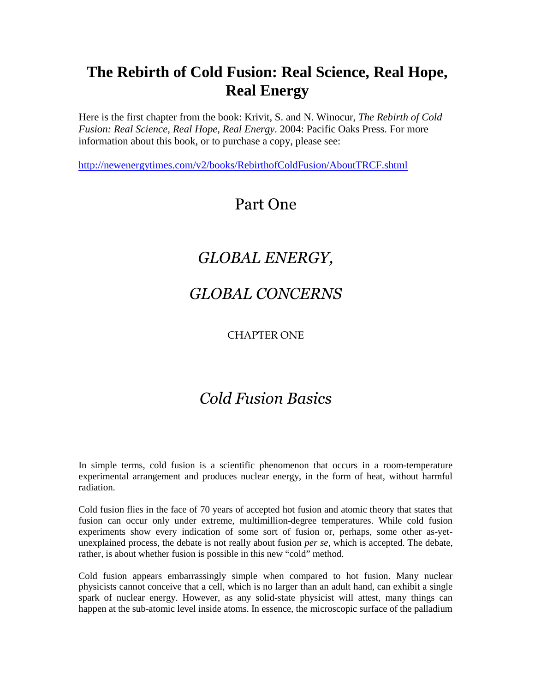## **The Rebirth of Cold Fusion: Real Science, Real Hope, Real Energy**

Here is the first chapter from the book: Krivit, S. and N. Winocur, *The Rebirth of Cold Fusion: Real Science, Real Hope, Real Energy*. 2004: Pacific Oaks Press. For more information about this book, or to purchase a copy, please see:

http://newenergytimes.com/v2/books/RebirthofColdFusion/AboutTRCF.shtml

## Part One

# *GLOBAL ENERGY,*

### *GLOBAL CONCERNS*

CHAPTER ONE

# *Cold Fusion Basics*

In simple terms, cold fusion is a scientific phenomenon that occurs in a room-temperature experimental arrangement and produces nuclear energy, in the form of heat, without harmful radiation.

Cold fusion flies in the face of 70 years of accepted hot fusion and atomic theory that states that fusion can occur only under extreme, multimillion-degree temperatures. While cold fusion experiments show every indication of some sort of fusion or, perhaps, some other as-yetunexplained process, the debate is not really about fusion *per se*, which is accepted. The debate, rather, is about whether fusion is possible in this new "cold" method.

Cold fusion appears embarrassingly simple when compared to hot fusion. Many nuclear physicists cannot conceive that a cell, which is no larger than an adult hand, can exhibit a single spark of nuclear energy. However, as any solid-state physicist will attest, many things can happen at the sub-atomic level inside atoms. In essence, the microscopic surface of the palladium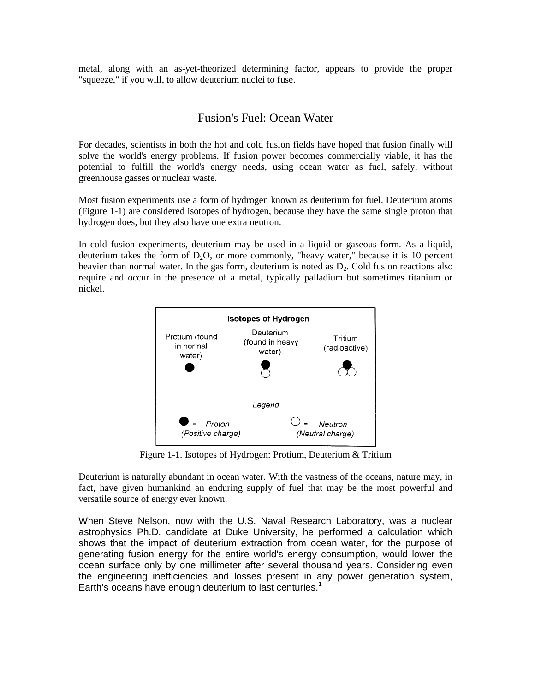metal, along with an as-yet-theorized determining factor, appears to provide the proper "squeeze," if you will, to allow deuterium nuclei to fuse.

#### Fusion's Fuel: Ocean Water

For decades, scientists in both the hot and cold fusion fields have hoped that fusion finally will solve the world's energy problems. If fusion power becomes commercially viable, it has the potential to fulfill the world's energy needs, using ocean water as fuel, safely, without greenhouse gasses or nuclear waste.

Most fusion experiments use a form of hydrogen known as deuterium for fuel. Deuterium atoms (Figure 1-1) are considered isotopes of hydrogen, because they have the same single proton that hydrogen does, but they also have one extra neutron.

In cold fusion experiments, deuterium may be used in a liquid or gaseous form. As a liquid, deuterium takes the form of  $D_2O$ , or more commonly, "heavy water," because it is 10 percent heavier than normal water. In the gas form, deuterium is noted as  $D<sub>2</sub>$ . Cold fusion reactions also require and occur in the presence of a metal, typically palladium but sometimes titanium or nickel.



Figure 1-1. Isotopes of Hydrogen: Protium, Deuterium & Tritium

Deuterium is naturally abundant in ocean water. With the vastness of the oceans, nature may, in fact, have given humankind an enduring supply of fuel that may be the most powerful and versatile source of energy ever known.

When Steve Nelson, now with the U.S. Naval Research Laboratory, was a nuclear astrophysics Ph.D. candidate at Duke University, he performed a calculation which shows that the impact of deuterium extraction from ocean water, for the purpose of generating fusion energy for the entire world's energy consumption, would lower the ocean surface only by one millimeter after several thousand years. Considering even the engineering inefficiencies and losses present in any power generation system, Earth's oceans have enough deuterium to last centuries.<sup>1</sup>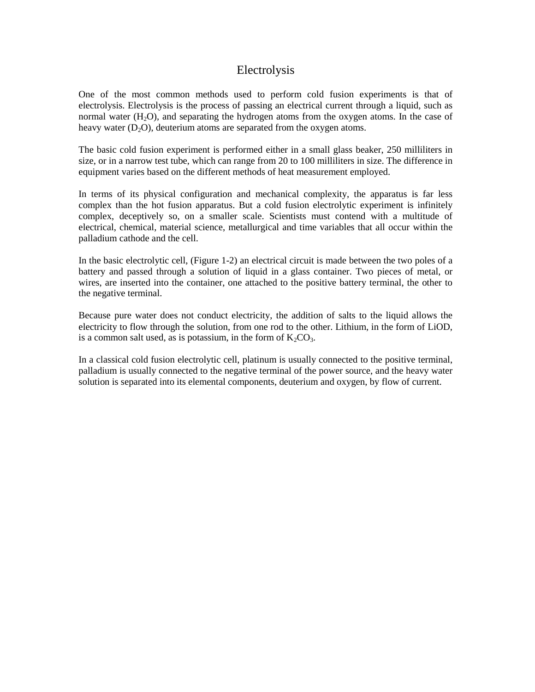#### Electrolysis

One of the most common methods used to perform cold fusion experiments is that of electrolysis. Electrolysis is the process of passing an electrical current through a liquid, such as normal water  $(H<sub>2</sub>O)$ , and separating the hydrogen atoms from the oxygen atoms. In the case of heavy water  $(D_2O)$ , deuterium atoms are separated from the oxygen atoms.

The basic cold fusion experiment is performed either in a small glass beaker, 250 milliliters in size, or in a narrow test tube, which can range from 20 to 100 milliliters in size. The difference in equipment varies based on the different methods of heat measurement employed.

In terms of its physical configuration and mechanical complexity, the apparatus is far less complex than the hot fusion apparatus. But a cold fusion electrolytic experiment is infinitely complex, deceptively so, on a smaller scale. Scientists must contend with a multitude of electrical, chemical, material science, metallurgical and time variables that all occur within the palladium cathode and the cell.

In the basic electrolytic cell, (Figure 1-2) an electrical circuit is made between the two poles of a battery and passed through a solution of liquid in a glass container. Two pieces of metal, or wires, are inserted into the container, one attached to the positive battery terminal, the other to the negative terminal.

Because pure water does not conduct electricity, the addition of salts to the liquid allows the electricity to flow through the solution, from one rod to the other. Lithium, in the form of LiOD, is a common salt used, as is potassium, in the form of  $K_2CO_3$ .

In a classical cold fusion electrolytic cell, platinum is usually connected to the positive terminal, palladium is usually connected to the negative terminal of the power source, and the heavy water solution is separated into its elemental components, deuterium and oxygen, by flow of current.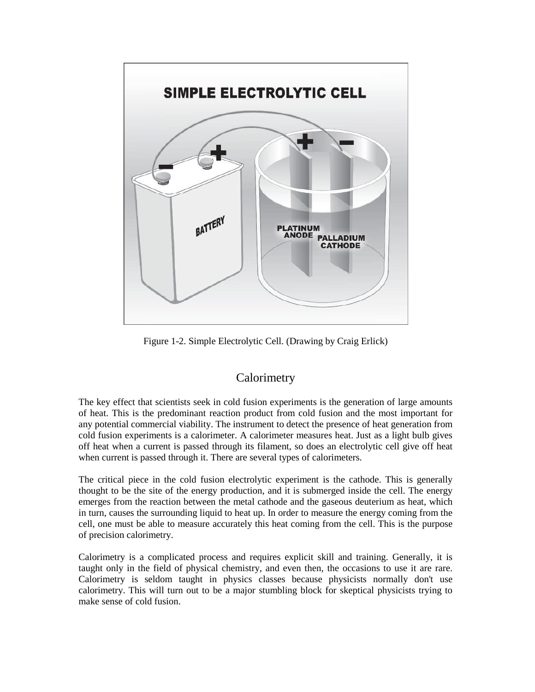

Figure 1-2. Simple Electrolytic Cell. (Drawing by Craig Erlick)

#### **Calorimetry**

The key effect that scientists seek in cold fusion experiments is the generation of large amounts of heat. This is the predominant reaction product from cold fusion and the most important for any potential commercial viability. The instrument to detect the presence of heat generation from cold fusion experiments is a calorimeter. A calorimeter measures heat. Just as a light bulb gives off heat when a current is passed through its filament, so does an electrolytic cell give off heat when current is passed through it. There are several types of calorimeters.

The critical piece in the cold fusion electrolytic experiment is the cathode. This is generally thought to be the site of the energy production, and it is submerged inside the cell. The energy emerges from the reaction between the metal cathode and the gaseous deuterium as heat, which in turn, causes the surrounding liquid to heat up. In order to measure the energy coming from the cell, one must be able to measure accurately this heat coming from the cell. This is the purpose of precision calorimetry.

Calorimetry is a complicated process and requires explicit skill and training. Generally, it is taught only in the field of physical chemistry, and even then, the occasions to use it are rare. Calorimetry is seldom taught in physics classes because physicists normally don't use calorimetry. This will turn out to be a major stumbling block for skeptical physicists trying to make sense of cold fusion.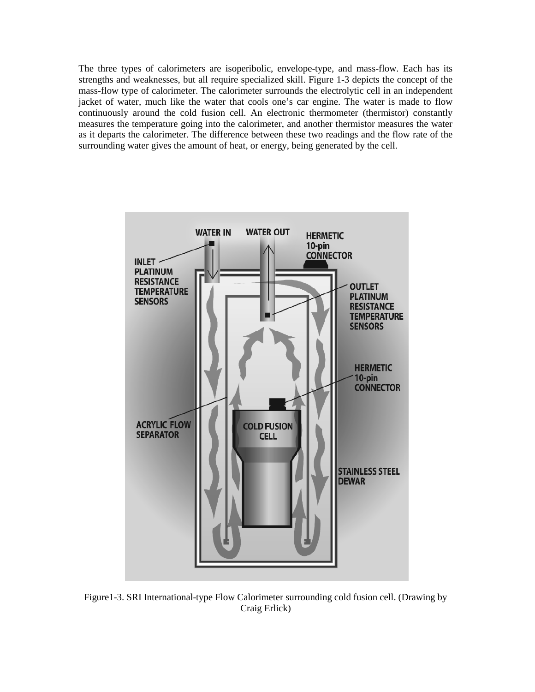The three types of calorimeters are isoperibolic, envelope-type, and mass-flow. Each has its strengths and weaknesses, but all require specialized skill. Figure 1-3 depicts the concept of the mass-flow type of calorimeter. The calorimeter surrounds the electrolytic cell in an independent jacket of water, much like the water that cools one's car engine. The water is made to flow continuously around the cold fusion cell. An electronic thermometer (thermistor) constantly measures the temperature going into the calorimeter, and another thermistor measures the water as it departs the calorimeter. The difference between these two readings and the flow rate of the surrounding water gives the amount of heat, or energy, being generated by the cell.



Figure1-3. SRI International-type Flow Calorimeter surrounding cold fusion cell. (Drawing by Craig Erlick)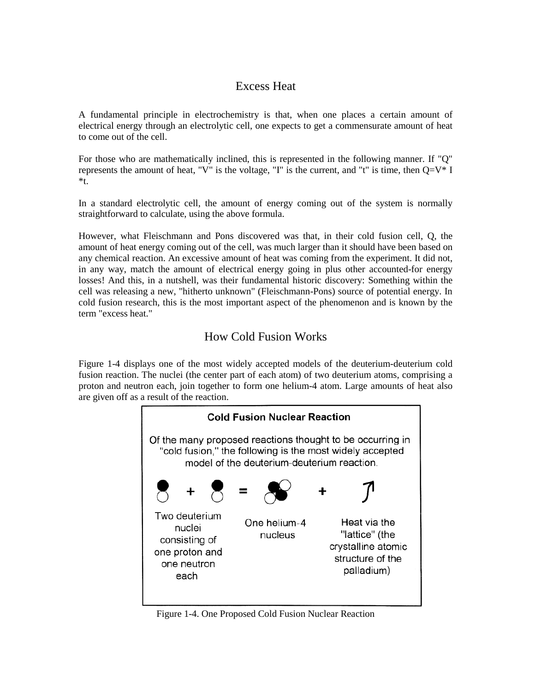### Excess Heat

A fundamental principle in electrochemistry is that, when one places a certain amount of electrical energy through an electrolytic cell, one expects to get a commensurate amount of heat to come out of the cell.

For those who are mathematically inclined, this is represented in the following manner. If "Q" represents the amount of heat, "V" is the voltage, "I" is the current, and "t" is time, then  $Q=V^*$  I \*t.

In a standard electrolytic cell, the amount of energy coming out of the system is normally straightforward to calculate, using the above formula.

However, what Fleischmann and Pons discovered was that, in their cold fusion cell, Q, the amount of heat energy coming out of the cell, was much larger than it should have been based on any chemical reaction. An excessive amount of heat was coming from the experiment. It did not, in any way, match the amount of electrical energy going in plus other accounted-for energy losses! And this, in a nutshell, was their fundamental historic discovery: Something within the cell was releasing a new, "hitherto unknown" (Fleischmann-Pons) source of potential energy. In cold fusion research, this is the most important aspect of the phenomenon and is known by the term "excess heat."

### How Cold Fusion Works

Figure 1-4 displays one of the most widely accepted models of the deuterium-deuterium cold fusion reaction. The nuclei (the center part of each atom) of two deuterium atoms, comprising a proton and neutron each, join together to form one helium-4 atom. Large amounts of heat also are given off as a result of the reaction.



Figure 1-4. One Proposed Cold Fusion Nuclear Reaction